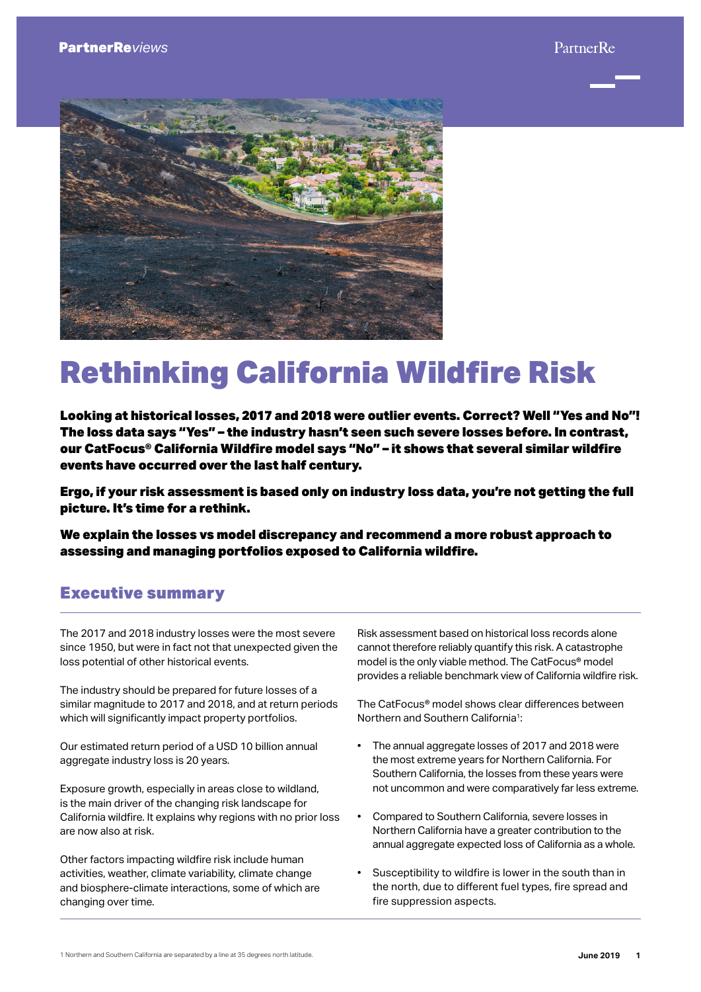

# Rethinking California Wildfire Risk

Looking at historical losses, 2017 and 2018 were outlier events. Correct? Well "Yes and No"! The loss data says "Yes" – the industry hasn't seen such severe losses before. In contrast, our CatFocus® California Wildfire model says "No" – it shows that several similar wildfire events have occurred over the last half century.

Ergo, if your risk assessment is based only on industry loss data, you're not getting the full picture. It's time for a rethink.

We explain the losses vs model discrepancy and recommend a more robust approach to assessing and managing portfolios exposed to California wildfire.

# Executive summary

The 2017 and 2018 industry losses were the most severe since 1950, but were in fact not that unexpected given the loss potential of other historical events.

The industry should be prepared for future losses of a similar magnitude to 2017 and 2018, and at return periods which will significantly impact property portfolios.

Our estimated return period of a USD 10 billion annual aggregate industry loss is 20 years.

Exposure growth, especially in areas close to wildland, is the main driver of the changing risk landscape for California wildfire. It explains why regions with no prior loss are now also at risk.

Other factors impacting wildfire risk include human activities, weather, climate variability, climate change and biosphere-climate interactions, some of which are changing over time.

Risk assessment based on historical loss records alone cannot therefore reliably quantify this risk. A catastrophe model is the only viable method. The CatFocus® model provides a reliable benchmark view of California wildfire risk.

The CatFocus® model shows clear differences between Northern and Southern California1:

- The annual aggregate losses of 2017 and 2018 were the most extreme years for Northern California. For Southern California, the losses from these years were not uncommon and were comparatively far less extreme.
- Compared to Southern California, severe losses in Northern California have a greater contribution to the annual aggregate expected loss of California as a whole.
- Susceptibility to wildfire is lower in the south than in the north, due to different fuel types, fire spread and fire suppression aspects.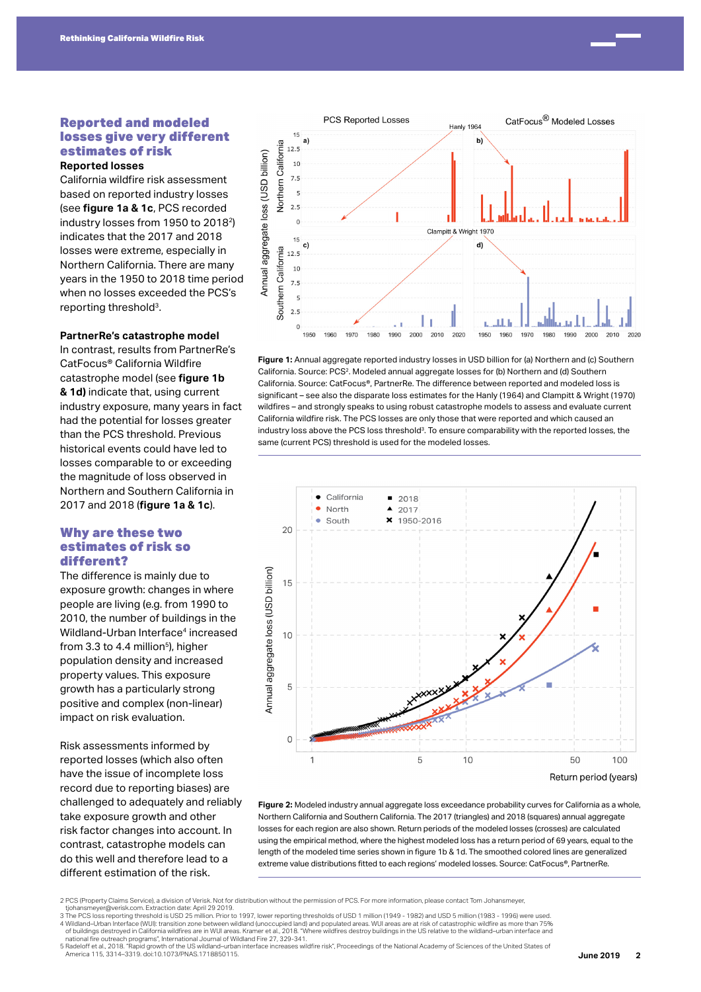

**Reported losses**

California wildfire risk assessment based on reported industry losses (see **figure 1a & 1c**, PCS recorded industry losses from 1950 to 20182) indicates that the 2017 and 2018 losses were extreme, especially in Northern California. There are many years in the 1950 to 2018 time period when no losses exceeded the PCS's reporting threshold3.

#### **PartnerRe's catastrophe model**

In contrast, results from PartnerRe's CatFocus® California Wildfire catastrophe model (see **figure 1b & 1d)** indicate that, using current industry exposure, many years in fact had the potential for losses greater than the PCS threshold. Previous historical events could have led to losses comparable to or exceeding the magnitude of loss observed in Northern and Southern California in 2017 and 2018 (**figure 1a & 1c**).

# Why are these two estimates of risk so different?

The difference is mainly due to exposure growth: changes in where people are living (e.g. from 1990 to 2010, the number of buildings in the Wildland-Urban Interface<sup>4</sup> increased from 3.3 to 4.4 million<sup>5</sup>), higher population density and increased property values. This exposure growth has a particularly strong positive and complex (non-linear) impact on risk evaluation.

Risk assessments informed by reported losses (which also often have the issue of incomplete loss record due to reporting biases) are challenged to adequately and reliably take exposure growth and other risk factor changes into account. In contrast, catastrophe models can do this well and therefore lead to a different estimation of the risk.



**Figure 1:** Annual aggregate reported industry losses in USD billion for (a) Northern and (c) Southern California. Source: PCS2. Modeled annual aggregate losses for (b) Northern and (d) Southern California. Source: CatFocus®, PartnerRe. The difference between reported and modeled loss is significant – see also the disparate loss estimates for the Hanly (1964) and Clampitt & Wright (1970) wildfires – and strongly speaks to using robust catastrophe models to assess and evaluate current California wildfire risk. The PCS losses are only those that were reported and which caused an industry loss above the PCS loss threshold<sup>3</sup>. To ensure comparability with the reported losses, the same (current PCS) threshold is used for the modeled losses.



**Figure 2:** Modeled industry annual aggregate loss exceedance probability curves for California as a whole, Northern California and Southern California. The 2017 (triangles) and 2018 (squares) annual aggregate losses for each region are also shown. Return periods of the modeled losses (crosses) are calculated using the empirical method, where the highest modeled loss has a return period of 69 years, equal to the length of the modeled time series shown in figure 1b & 1d. The smoothed colored lines are generalized extreme value distributions fitted to each regions' modeled losses. Source: CatFocus®, PartnerRe.

2 PCS (Property Claims Service), a division of Verisk. Not for distribution without the permission of PCS. For more information, please contact Tom Johansmeyer,

tjohansmeyer@verisk.com. Extraction date: April 29 2019.<br>3 The PCS loss reporting threshold is USD 25 million. Prior to 1997, lower reporting thresholds of USD 1 million (1949 - 1982) and USD 5 million (1983 - 1996) were u 4 Wildland–Urban Interface (WUI): transition zone between wildland (unoccupied land) and populated areas. WUI areas are at risk of catastrophic wildfire as more than 75% of buildings destroyed in California wildfires are in WUI areas. Kramer et al., 2018. "Where wildfires destroy buildings in the US relative to the wildland–urban interface and<br>national fire outreach programs", Internationa

America 115, 3314–3319. doi:10.1073/PNAS.1718850115.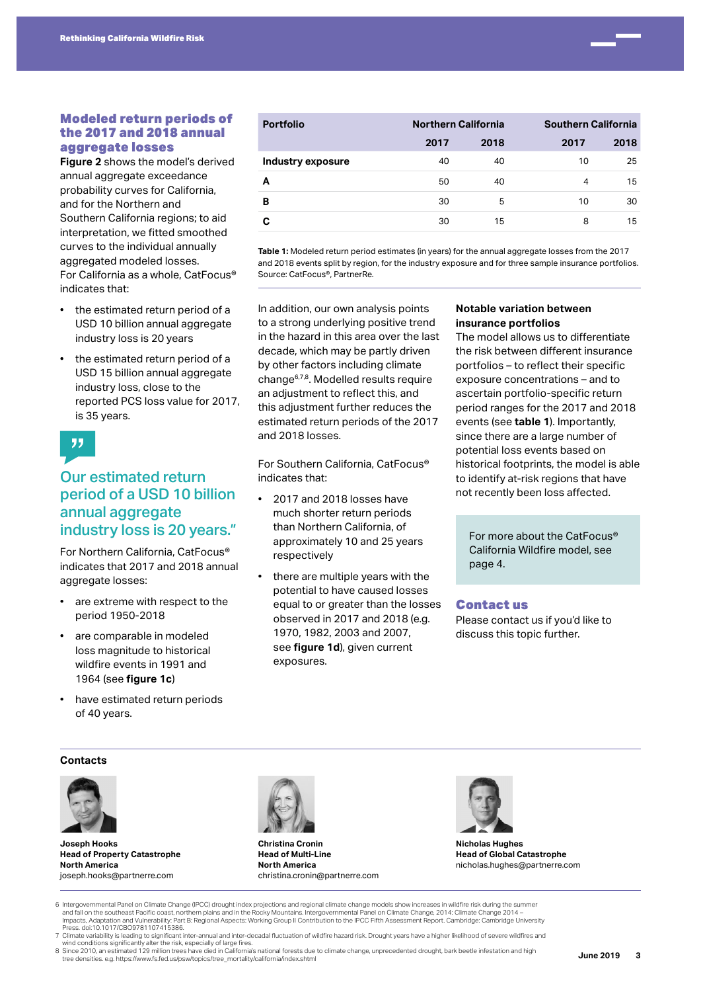

# Modeled return periods of the 2017 and 2018 annual aggregate losses

**Figure 2** shows the model's derived annual aggregate exceedance probability curves for California, and for the Northern and Southern California regions; to aid interpretation, we fitted smoothed curves to the individual annually aggregated modeled losses. For California as a whole, CatFocus® indicates that:

- the estimated return period of a USD 10 billion annual aggregate industry loss is 20 years
- the estimated return period of a USD 15 billion annual aggregate industry loss, close to the reported PCS loss value for 2017, is 35 years.

# Our estimated return period of a USD 10 billion annual aggregate industry loss is 20 years."

For Northern California, CatFocus® indicates that 2017 and 2018 annual aggregate losses:

- are extreme with respect to the period 1950-2018
- are comparable in modeled loss magnitude to historical wildfire events in 1991 and 1964 (see **figure 1c**)
- have estimated return periods of 40 years.

| <b>Portfolio</b>  | <b>Northern California</b> |      |      | <b>Southern California</b> |  |
|-------------------|----------------------------|------|------|----------------------------|--|
|                   | 2017                       | 2018 | 2017 | 2018                       |  |
| Industry exposure | 40                         | 40   | 10   | 25                         |  |
|                   | 50                         | 40   | 4    | 15                         |  |
| в                 | 30                         | 5    | 10   | 30                         |  |
|                   | 30                         | 15   | 8    | 15                         |  |

**Table 1:** Modeled return period estimates (in years) for the annual aggregate losses from the 2017 and 2018 events split by region, for the industry exposure and for three sample insurance portfolios. Source: CatFocus®, PartnerRe.

In addition, our own analysis points to a strong underlying positive trend in the hazard in this area over the last decade, which may be partly driven by other factors including climate change6,7,8. Modelled results require an adjustment to reflect this, and this adjustment further reduces the estimated return periods of the 2017 and 2018 losses.

For Southern California, CatFocus® indicates that:

- 2017 and 2018 losses have much shorter return periods than Northern California, of approximately 10 and 25 years respectively
- there are multiple years with the potential to have caused losses equal to or greater than the losses observed in 2017 and 2018 (e.g. 1970, 1982, 2003 and 2007, see **figure 1d**), given current exposures.

# **Notable variation between insurance portfolios**

The model allows us to differentiate the risk between different insurance portfolios – to reflect their specific exposure concentrations – and to ascertain portfolio-specific return period ranges for the 2017 and 2018 events (see **table 1**). Importantly, since there are a large number of potential loss events based on historical footprints, the model is able to identify at-risk regions that have not recently been loss affected.

For more about the CatFocus® California Wildfire model, see page 4.

# Contact us

Please contact us if you'd like to discuss this topic further.

# **Contacts**



**Joseph Hooks Head of Property Catastrophe North America** joseph.hooks@partnerre.com



**Christina Cronin Head of Multi-Line North America** christina.cronin@partnerre.com



**Nicholas Hughes Head of Global Catastrophe** nicholas.hughes@partnerre.com

- 6 Intergovernmental Panel on Climate Change (IPCC) drought index projections and regional climate change models show increases in wildfire risk during the summer<br>– 14 and fall on the southeast Pacific coast, northern plain Impacts, Adaptation and Vulnerability: Part B: Regional Aspects: Working Group II Contribution to the IPCC Fifth Assessment Report. Cambridge: Cambridge University Press. doi:10.1017/CBO9781107415386. 7 Climate variability is leading to significant inter-annual and inter-decadal fluctuation of wildfire hazard risk. Drought years have a higher likelihood of severe wildfires and
- wind conditions significantly alter the risk, especially of large fires.<br>8 Since 2010, an estimated 129 million trees have died in California's national forests due to climate change, unprecedented drought, bark beetle inf
- tree densities. e.g. https://www.fs.fed.us/psw/topics/tree\_mortality/california/index.shtml